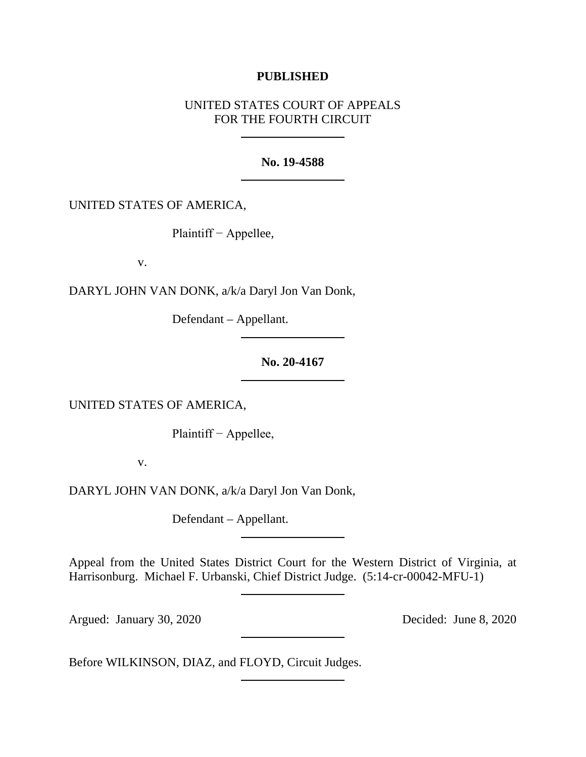### **PUBLISHED**

# UNITED STATES COURT OF APPEALS FOR THE FOURTH CIRCUIT

#### **No. 19-4588**

UNITED STATES OF AMERICA,

Plaintiff − Appellee,

v.

DARYL JOHN VAN DONK, a/k/a Daryl Jon Van Donk,

Defendant – Appellant.

### **No. 20-4167**

UNITED STATES OF AMERICA,

Plaintiff − Appellee,

v.

DARYL JOHN VAN DONK, a/k/a Daryl Jon Van Donk,

Defendant – Appellant.

Appeal from the United States District Court for the Western District of Virginia, at Harrisonburg. Michael F. Urbanski, Chief District Judge. (5:14-cr-00042-MFU-1)

Argued: January 30, 2020 Decided: June 8, 2020

Before WILKINSON, DIAZ, and FLOYD, Circuit Judges.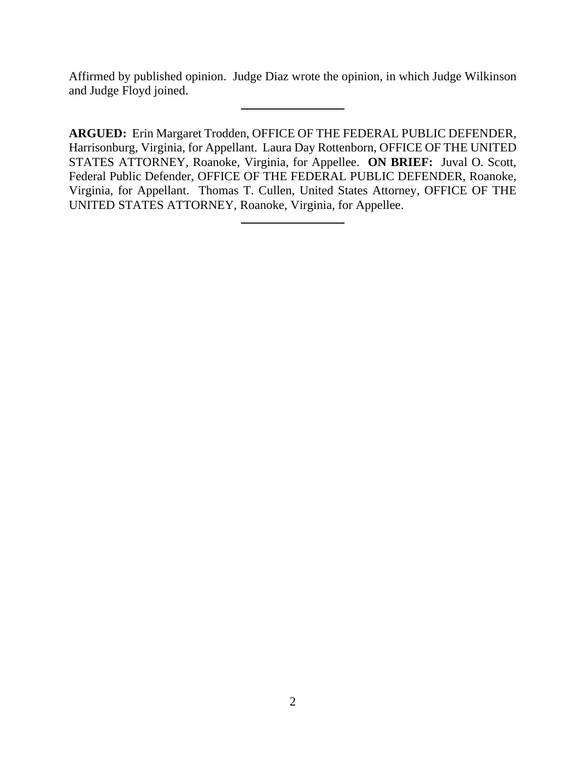Affirmed by published opinion. Judge Diaz wrote the opinion, in which Judge Wilkinson and Judge Floyd joined.

**ARGUED:** Erin Margaret Trodden, OFFICE OF THE FEDERAL PUBLIC DEFENDER, Harrisonburg, Virginia, for Appellant. Laura Day Rottenborn, OFFICE OF THE UNITED STATES ATTORNEY, Roanoke, Virginia, for Appellee. **ON BRIEF:** Juval O. Scott, Federal Public Defender, OFFICE OF THE FEDERAL PUBLIC DEFENDER, Roanoke, Virginia, for Appellant. Thomas T. Cullen, United States Attorney, OFFICE OF THE UNITED STATES ATTORNEY, Roanoke, Virginia, for Appellee.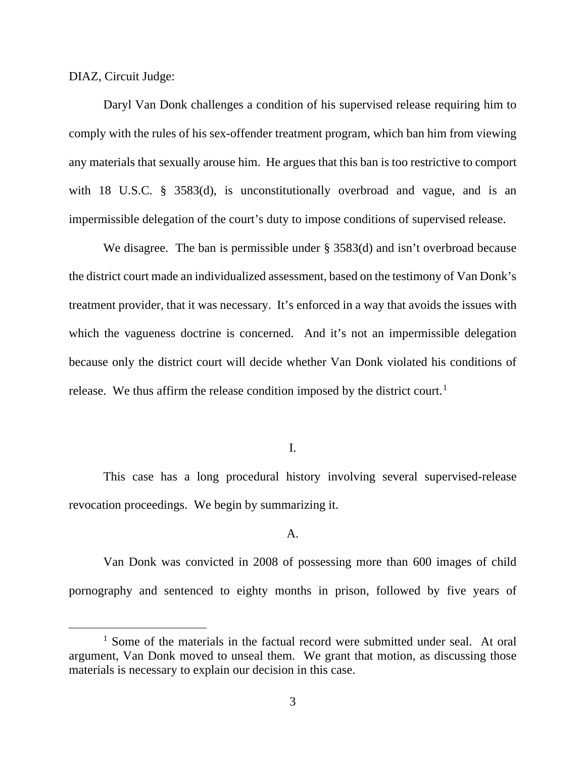DIAZ, Circuit Judge:

Daryl Van Donk challenges a condition of his supervised release requiring him to comply with the rules of his sex-offender treatment program, which ban him from viewing any materials that sexually arouse him. He argues that this ban is too restrictive to comport with 18 U.S.C. § 3583(d), is unconstitutionally overbroad and vague, and is an impermissible delegation of the court's duty to impose conditions of supervised release.

We disagree. The ban is permissible under § 3583(d) and isn't overbroad because the district court made an individualized assessment, based on the testimony of Van Donk's treatment provider, that it was necessary. It's enforced in a way that avoids the issues with which the vagueness doctrine is concerned. And it's not an impermissible delegation because only the district court will decide whether Van Donk violated his conditions of release. We thus affirm the release condition imposed by the district court.<sup>[1](#page-2-0)</sup>

I.

This case has a long procedural history involving several supervised-release revocation proceedings. We begin by summarizing it.

### A.

Van Donk was convicted in 2008 of possessing more than 600 images of child pornography and sentenced to eighty months in prison, followed by five years of

<span id="page-2-0"></span><sup>&</sup>lt;sup>1</sup> Some of the materials in the factual record were submitted under seal. At oral argument, Van Donk moved to unseal them. We grant that motion, as discussing those materials is necessary to explain our decision in this case.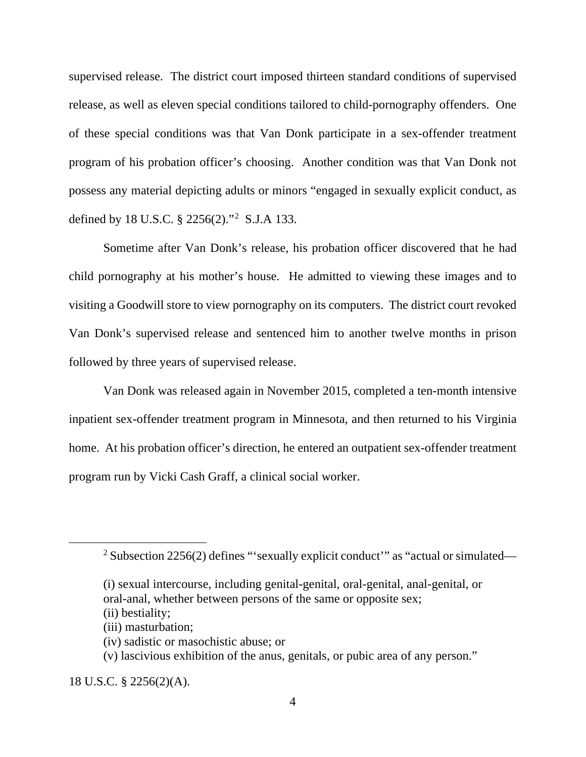supervised release. The district court imposed thirteen standard conditions of supervised release, as well as eleven special conditions tailored to child-pornography offenders. One of these special conditions was that Van Donk participate in a sex-offender treatment program of his probation officer's choosing. Another condition was that Van Donk not possess any material depicting adults or minors "engaged in sexually explicit conduct, as defined by 18 U.S.C. § 2256(2)."[2](#page-3-0) S.J.A 133.

Sometime after Van Donk's release, his probation officer discovered that he had child pornography at his mother's house. He admitted to viewing these images and to visiting a Goodwill store to view pornography on its computers. The district court revoked Van Donk's supervised release and sentenced him to another twelve months in prison followed by three years of supervised release.

Van Donk was released again in November 2015, completed a ten-month intensive inpatient sex-offender treatment program in Minnesota, and then returned to his Virginia home. At his probation officer's direction, he entered an outpatient sex-offender treatment program run by Vicki Cash Graff, a clinical social worker.

<span id="page-3-0"></span><sup>&</sup>lt;sup>2</sup> Subsection 2256(2) defines "'sexually explicit conduct'" as "actual or simulated—

<sup>(</sup>i) sexual intercourse, including genital-genital, oral-genital, anal-genital, or oral-anal, whether between persons of the same or opposite sex;

<sup>(</sup>ii) bestiality;

<sup>(</sup>iii) masturbation;

<sup>(</sup>iv) sadistic or masochistic abuse; or

<sup>(</sup>v) lascivious exhibition of the anus, genitals, or pubic area of any person."

<sup>18</sup> U.S.C. § 2256(2)(A).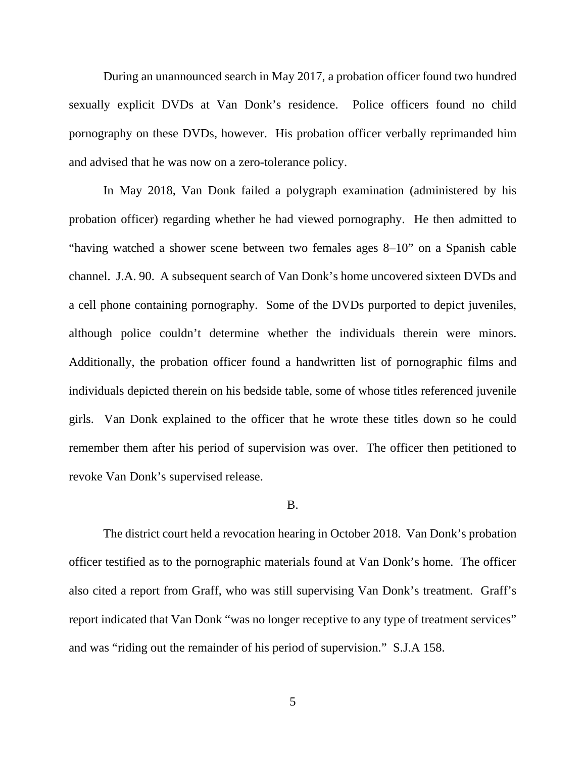During an unannounced search in May 2017, a probation officer found two hundred sexually explicit DVDs at Van Donk's residence. Police officers found no child pornography on these DVDs, however. His probation officer verbally reprimanded him and advised that he was now on a zero-tolerance policy.

In May 2018, Van Donk failed a polygraph examination (administered by his probation officer) regarding whether he had viewed pornography. He then admitted to "having watched a shower scene between two females ages 8–10" on a Spanish cable channel. J.A. 90. A subsequent search of Van Donk's home uncovered sixteen DVDs and a cell phone containing pornography. Some of the DVDs purported to depict juveniles, although police couldn't determine whether the individuals therein were minors. Additionally, the probation officer found a handwritten list of pornographic films and individuals depicted therein on his bedside table, some of whose titles referenced juvenile girls. Van Donk explained to the officer that he wrote these titles down so he could remember them after his period of supervision was over. The officer then petitioned to revoke Van Donk's supervised release.

### B.

The district court held a revocation hearing in October 2018. Van Donk's probation officer testified as to the pornographic materials found at Van Donk's home. The officer also cited a report from Graff, who was still supervising Van Donk's treatment. Graff's report indicated that Van Donk "was no longer receptive to any type of treatment services" and was "riding out the remainder of his period of supervision." S.J.A 158.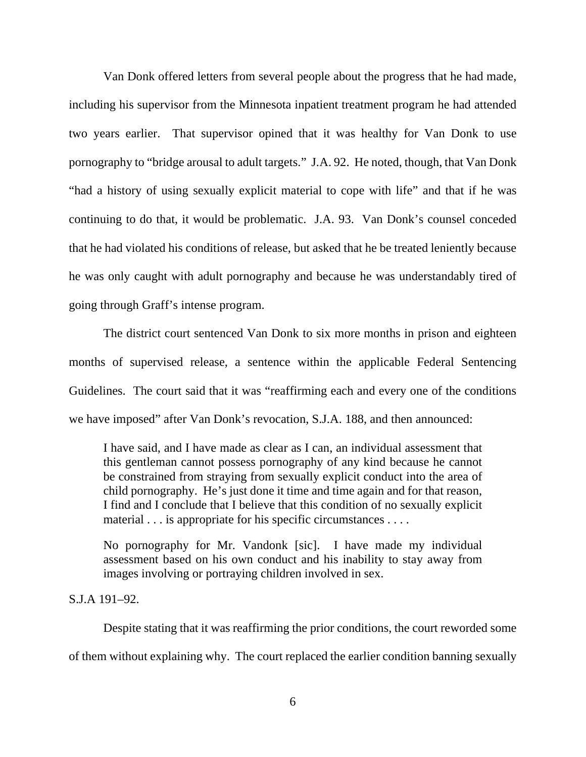Van Donk offered letters from several people about the progress that he had made, including his supervisor from the Minnesota inpatient treatment program he had attended two years earlier. That supervisor opined that it was healthy for Van Donk to use pornography to "bridge arousal to adult targets." J.A. 92. He noted, though, that Van Donk "had a history of using sexually explicit material to cope with life" and that if he was continuing to do that, it would be problematic. J.A. 93. Van Donk's counsel conceded that he had violated his conditions of release, but asked that he be treated leniently because he was only caught with adult pornography and because he was understandably tired of going through Graff's intense program.

The district court sentenced Van Donk to six more months in prison and eighteen months of supervised release, a sentence within the applicable Federal Sentencing Guidelines. The court said that it was "reaffirming each and every one of the conditions we have imposed" after Van Donk's revocation, S.J.A. 188, and then announced:

I have said, and I have made as clear as I can, an individual assessment that this gentleman cannot possess pornography of any kind because he cannot be constrained from straying from sexually explicit conduct into the area of child pornography. He's just done it time and time again and for that reason, I find and I conclude that I believe that this condition of no sexually explicit material . . . is appropriate for his specific circumstances . . . .

No pornography for Mr. Vandonk [sic]. I have made my individual assessment based on his own conduct and his inability to stay away from images involving or portraying children involved in sex.

# S.J.A 191–92.

Despite stating that it was reaffirming the prior conditions, the court reworded some of them without explaining why. The court replaced the earlier condition banning sexually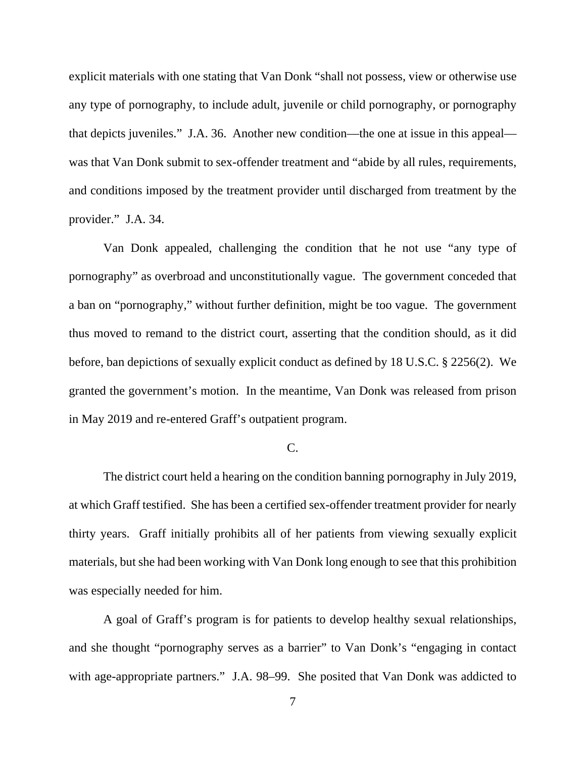explicit materials with one stating that Van Donk "shall not possess, view or otherwise use any type of pornography, to include adult, juvenile or child pornography, or pornography that depicts juveniles." J.A. 36. Another new condition—the one at issue in this appeal was that Van Donk submit to sex-offender treatment and "abide by all rules, requirements, and conditions imposed by the treatment provider until discharged from treatment by the provider." J.A. 34.

Van Donk appealed, challenging the condition that he not use "any type of pornography" as overbroad and unconstitutionally vague. The government conceded that a ban on "pornography," without further definition, might be too vague. The government thus moved to remand to the district court, asserting that the condition should, as it did before, ban depictions of sexually explicit conduct as defined by 18 U.S.C. § 2256(2). We granted the government's motion. In the meantime, Van Donk was released from prison in May 2019 and re-entered Graff's outpatient program.

### C.

The district court held a hearing on the condition banning pornography in July 2019, at which Graff testified. She has been a certified sex-offender treatment provider for nearly thirty years. Graff initially prohibits all of her patients from viewing sexually explicit materials, but she had been working with Van Donk long enough to see that this prohibition was especially needed for him.

A goal of Graff's program is for patients to develop healthy sexual relationships, and she thought "pornography serves as a barrier" to Van Donk's "engaging in contact with age-appropriate partners." J.A. 98–99. She posited that Van Donk was addicted to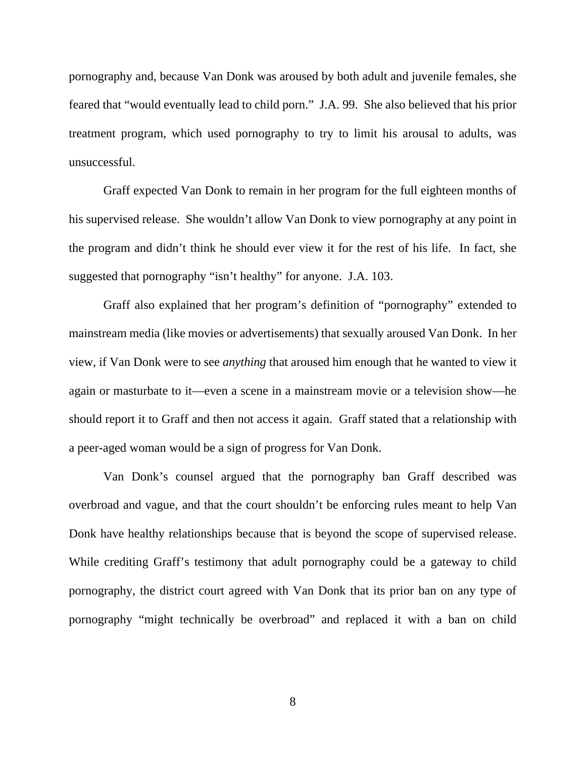pornography and, because Van Donk was aroused by both adult and juvenile females, she feared that "would eventually lead to child porn." J.A. 99. She also believed that his prior treatment program, which used pornography to try to limit his arousal to adults, was unsuccessful.

Graff expected Van Donk to remain in her program for the full eighteen months of his supervised release. She wouldn't allow Van Donk to view pornography at any point in the program and didn't think he should ever view it for the rest of his life. In fact, she suggested that pornography "isn't healthy" for anyone. J.A. 103.

Graff also explained that her program's definition of "pornography" extended to mainstream media (like movies or advertisements) that sexually aroused Van Donk. In her view, if Van Donk were to see *anything* that aroused him enough that he wanted to view it again or masturbate to it—even a scene in a mainstream movie or a television show—he should report it to Graff and then not access it again. Graff stated that a relationship with a peer-aged woman would be a sign of progress for Van Donk.

Van Donk's counsel argued that the pornography ban Graff described was overbroad and vague, and that the court shouldn't be enforcing rules meant to help Van Donk have healthy relationships because that is beyond the scope of supervised release. While crediting Graff's testimony that adult pornography could be a gateway to child pornography, the district court agreed with Van Donk that its prior ban on any type of pornography "might technically be overbroad" and replaced it with a ban on child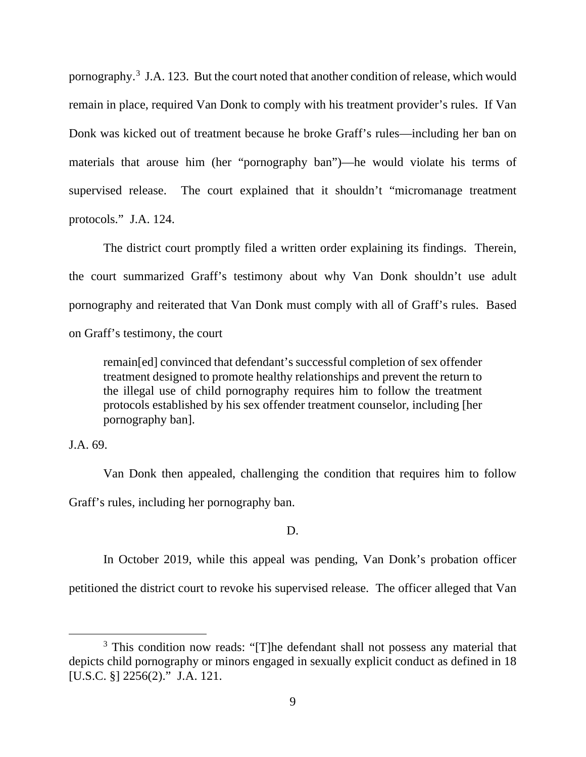pornography.<sup>[3](#page-8-0)</sup> J.A. 123. But the court noted that another condition of release, which would remain in place, required Van Donk to comply with his treatment provider's rules. If Van Donk was kicked out of treatment because he broke Graff's rules—including her ban on materials that arouse him (her "pornography ban")—he would violate his terms of supervised release. The court explained that it shouldn't "micromanage treatment protocols." J.A. 124.

The district court promptly filed a written order explaining its findings. Therein, the court summarized Graff's testimony about why Van Donk shouldn't use adult pornography and reiterated that Van Donk must comply with all of Graff's rules. Based on Graff's testimony, the court

remain[ed] convinced that defendant's successful completion of sex offender treatment designed to promote healthy relationships and prevent the return to the illegal use of child pornography requires him to follow the treatment protocols established by his sex offender treatment counselor, including [her pornography ban].

## J.A. 69.

Van Donk then appealed, challenging the condition that requires him to follow Graff's rules, including her pornography ban.

### D.

In October 2019, while this appeal was pending, Van Donk's probation officer

petitioned the district court to revoke his supervised release. The officer alleged that Van

<span id="page-8-0"></span><sup>&</sup>lt;sup>3</sup> This condition now reads: "[T]he defendant shall not possess any material that depicts child pornography or minors engaged in sexually explicit conduct as defined in 18 [U.S.C. §] 2256(2)." J.A. 121.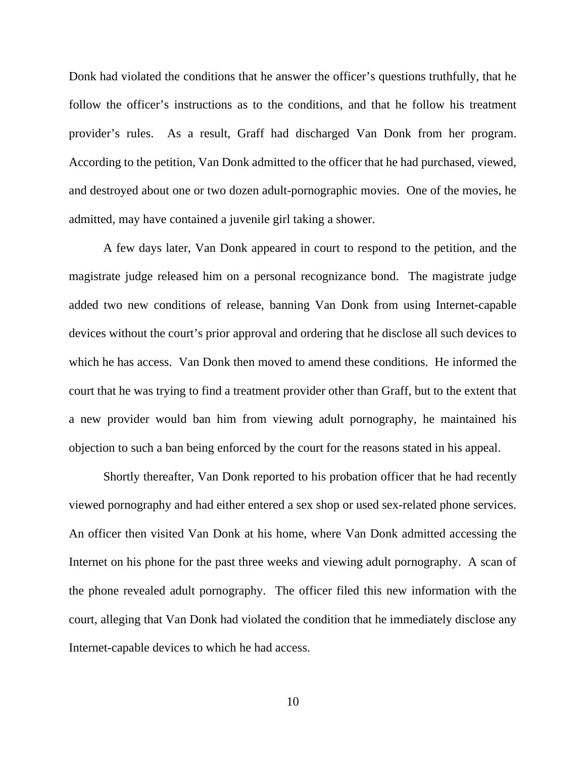Donk had violated the conditions that he answer the officer's questions truthfully, that he follow the officer's instructions as to the conditions, and that he follow his treatment provider's rules. As a result, Graff had discharged Van Donk from her program. According to the petition, Van Donk admitted to the officer that he had purchased, viewed, and destroyed about one or two dozen adult-pornographic movies. One of the movies, he admitted, may have contained a juvenile girl taking a shower.

A few days later, Van Donk appeared in court to respond to the petition, and the magistrate judge released him on a personal recognizance bond. The magistrate judge added two new conditions of release, banning Van Donk from using Internet-capable devices without the court's prior approval and ordering that he disclose all such devices to which he has access. Van Donk then moved to amend these conditions. He informed the court that he was trying to find a treatment provider other than Graff, but to the extent that a new provider would ban him from viewing adult pornography, he maintained his objection to such a ban being enforced by the court for the reasons stated in his appeal.

Shortly thereafter, Van Donk reported to his probation officer that he had recently viewed pornography and had either entered a sex shop or used sex-related phone services. An officer then visited Van Donk at his home, where Van Donk admitted accessing the Internet on his phone for the past three weeks and viewing adult pornography.A scan of the phone revealed adult pornography.The officer filed this new information with the court, alleging that Van Donk had violated the condition that he immediately disclose any Internet-capable devices to which he had access.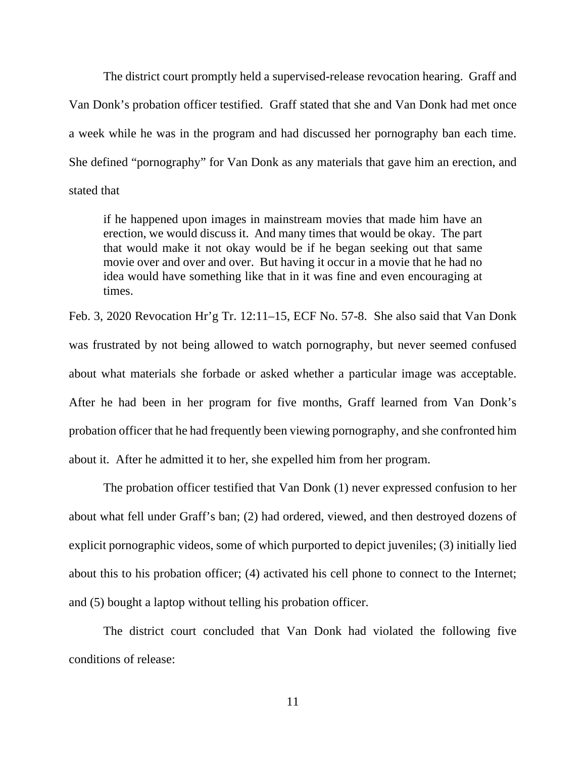The district court promptly held a supervised-release revocation hearing. Graff and Van Donk's probation officer testified. Graff stated that she and Van Donk had met once a week while he was in the program and had discussed her pornography ban each time. She defined "pornography" for Van Donk as any materials that gave him an erection, and stated that

if he happened upon images in mainstream movies that made him have an erection, we would discuss it. And many times that would be okay. The part that would make it not okay would be if he began seeking out that same movie over and over and over. But having it occur in a movie that he had no idea would have something like that in it was fine and even encouraging at times.

Feb. 3, 2020 Revocation Hr'g Tr. 12:11–15, ECF No. 57-8. She also said that Van Donk was frustrated by not being allowed to watch pornography, but never seemed confused about what materials she forbade or asked whether a particular image was acceptable. After he had been in her program for five months, Graff learned from Van Donk's probation officer that he had frequently been viewing pornography, and she confronted him about it. After he admitted it to her, she expelled him from her program.

The probation officer testified that Van Donk (1) never expressed confusion to her about what fell under Graff's ban; (2) had ordered, viewed, and then destroyed dozens of explicit pornographic videos, some of which purported to depict juveniles; (3) initially lied about this to his probation officer; (4) activated his cell phone to connect to the Internet; and (5) bought a laptop without telling his probation officer.

The district court concluded that Van Donk had violated the following five conditions of release: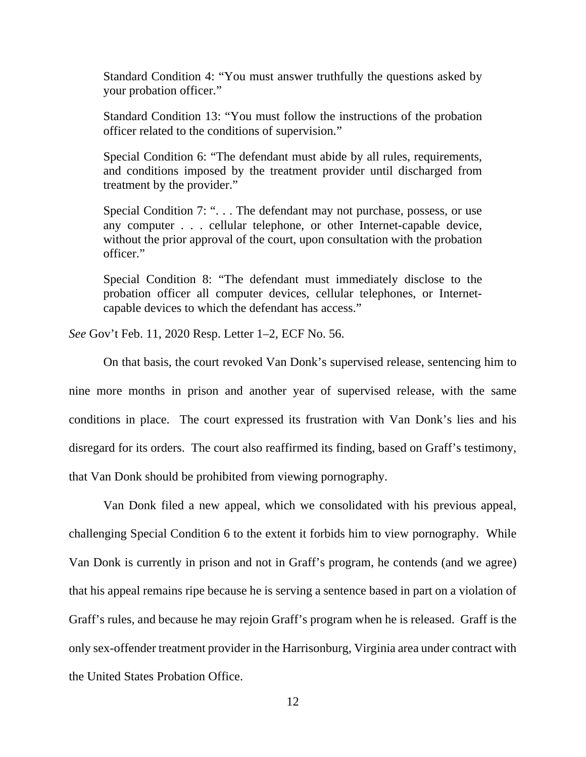Standard Condition 4: "You must answer truthfully the questions asked by your probation officer."

Standard Condition 13: "You must follow the instructions of the probation officer related to the conditions of supervision."

Special Condition 6: "The defendant must abide by all rules, requirements, and conditions imposed by the treatment provider until discharged from treatment by the provider."

Special Condition 7: ". . . The defendant may not purchase, possess, or use any computer . . . cellular telephone, or other Internet-capable device, without the prior approval of the court, upon consultation with the probation officer."

Special Condition 8: "The defendant must immediately disclose to the probation officer all computer devices, cellular telephones, or Internetcapable devices to which the defendant has access."

*See* Gov't Feb. 11, 2020 Resp. Letter 1–2, ECF No. 56.

On that basis, the court revoked Van Donk's supervised release, sentencing him to nine more months in prison and another year of supervised release, with the same conditions in place. The court expressed its frustration with Van Donk's lies and his disregard for its orders. The court also reaffirmed its finding, based on Graff's testimony, that Van Donk should be prohibited from viewing pornography.

Van Donk filed a new appeal, which we consolidated with his previous appeal, challenging Special Condition 6 to the extent it forbids him to view pornography. While Van Donk is currently in prison and not in Graff's program, he contends (and we agree) that his appeal remains ripe because he is serving a sentence based in part on a violation of Graff's rules, and because he may rejoin Graff's program when he is released. Graff is the only sex-offender treatment provider in the Harrisonburg, Virginia area under contract with the United States Probation Office.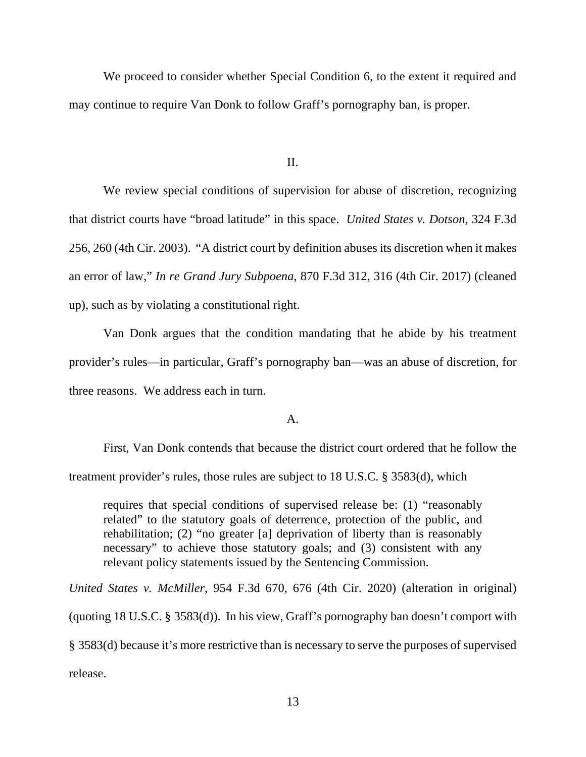We proceed to consider whether Special Condition 6, to the extent it required and may continue to require Van Donk to follow Graff's pornography ban, is proper.

II.

We review special conditions of supervision for abuse of discretion, recognizing that district courts have "broad latitude" in this space. *United States v. Dotson*, 324 F.3d 256, 260 (4th Cir. 2003). "A district court by definition abuses its discretion when it makes an error of law," *In re Grand Jury Subpoena*, 870 F.3d 312, 316 (4th Cir. 2017) (cleaned up), such as by violating a constitutional right.

Van Donk argues that the condition mandating that he abide by his treatment provider's rules—in particular, Graff's pornography ban—was an abuse of discretion, for three reasons. We address each in turn.

#### A.

First, Van Donk contends that because the district court ordered that he follow the treatment provider's rules, those rules are subject to 18 U.S.C. § 3583(d), which

requires that special conditions of supervised release be: (1) "reasonably related" to the statutory goals of deterrence, protection of the public, and rehabilitation; (2) "no greater [a] deprivation of liberty than is reasonably necessary" to achieve those statutory goals; and (3) consistent with any relevant policy statements issued by the Sentencing Commission.

*United States v. McMiller*, 954 F.3d 670, 676 (4th Cir. 2020) (alteration in original) (quoting 18 U.S.C. § 3583(d)). In his view, Graff's pornography ban doesn't comport with § 3583(d) because it's more restrictive than is necessary to serve the purposes of supervised release.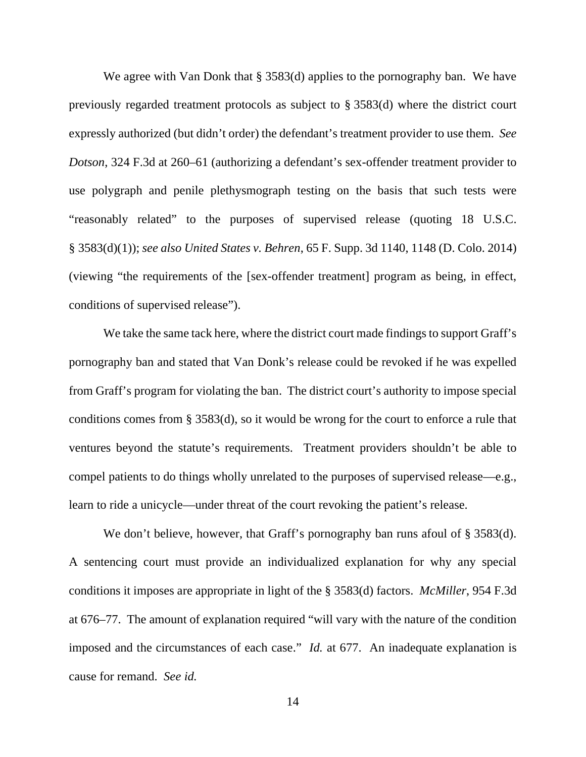We agree with Van Donk that § 3583(d) applies to the pornography ban. We have previously regarded treatment protocols as subject to § 3583(d) where the district court expressly authorized (but didn't order) the defendant's treatment provider to use them. *See Dotson*, 324 F.3d at 260–61 (authorizing a defendant's sex-offender treatment provider to use polygraph and penile plethysmograph testing on the basis that such tests were "reasonably related" to the purposes of supervised release (quoting 18 U.S.C. § 3583(d)(1)); *see also United States v. Behren*, 65 F. Supp. 3d 1140, 1148 (D. Colo. 2014) (viewing "the requirements of the [sex-offender treatment] program as being, in effect, conditions of supervised release").

We take the same tack here, where the district court made findings to support Graff's pornography ban and stated that Van Donk's release could be revoked if he was expelled from Graff's program for violating the ban. The district court's authority to impose special conditions comes from § 3583(d), so it would be wrong for the court to enforce a rule that ventures beyond the statute's requirements. Treatment providers shouldn't be able to compel patients to do things wholly unrelated to the purposes of supervised release—e.g., learn to ride a unicycle—under threat of the court revoking the patient's release.

We don't believe, however, that Graff's pornography ban runs afoul of § 3583(d). A sentencing court must provide an individualized explanation for why any special conditions it imposes are appropriate in light of the § 3583(d) factors. *McMiller*, 954 F.3d at 676–77. The amount of explanation required "will vary with the nature of the condition imposed and the circumstances of each case." *Id.* at 677. An inadequate explanation is cause for remand. *See id.*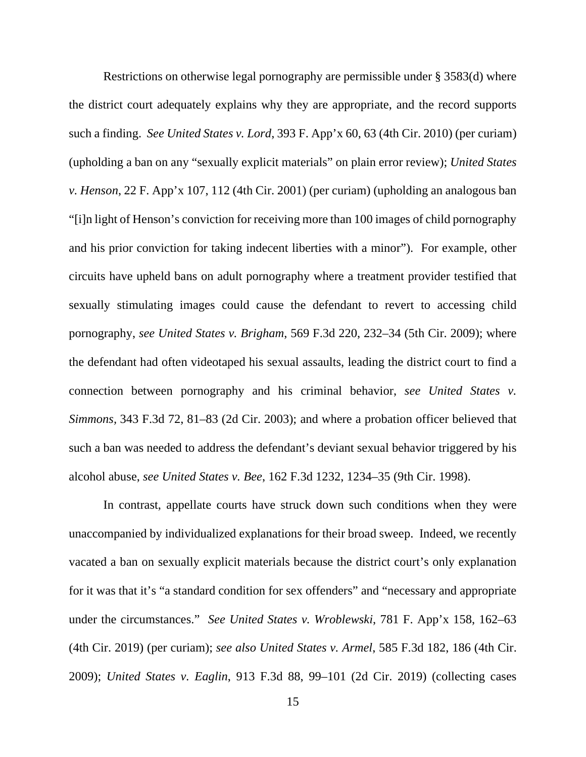Restrictions on otherwise legal pornography are permissible under § 3583(d) where the district court adequately explains why they are appropriate, and the record supports such a finding. *See United States v. Lord*, 393 F. App'x 60, 63 (4th Cir. 2010) (per curiam) (upholding a ban on any "sexually explicit materials" on plain error review); *United States v. Henson*, 22 F. App'x 107, 112 (4th Cir. 2001) (per curiam) (upholding an analogous ban "[i]n light of Henson's conviction for receiving more than 100 images of child pornography and his prior conviction for taking indecent liberties with a minor"). For example, other circuits have upheld bans on adult pornography where a treatment provider testified that sexually stimulating images could cause the defendant to revert to accessing child pornography, *see United States v. Brigham*, 569 F.3d 220, 232–34 (5th Cir. 2009); where the defendant had often videotaped his sexual assaults, leading the district court to find a connection between pornography and his criminal behavior, *see United States v. Simmons,* 343 F.3d 72, 81–83 (2d Cir. 2003); and where a probation officer believed that such a ban was needed to address the defendant's deviant sexual behavior triggered by his alcohol abuse, *see United States v. Bee*, 162 F.3d 1232, 1234–35 (9th Cir. 1998).

In contrast, appellate courts have struck down such conditions when they were unaccompanied by individualized explanations for their broad sweep. Indeed, we recently vacated a ban on sexually explicit materials because the district court's only explanation for it was that it's "a standard condition for sex offenders" and "necessary and appropriate under the circumstances." *See United States v. Wroblewski*, 781 F. App'x 158, 162–63 (4th Cir. 2019) (per curiam); *see also United States v. Armel*, 585 F.3d 182, 186 (4th Cir. 2009); *United States v. Eaglin*, 913 F.3d 88, 99–101 (2d Cir. 2019) (collecting cases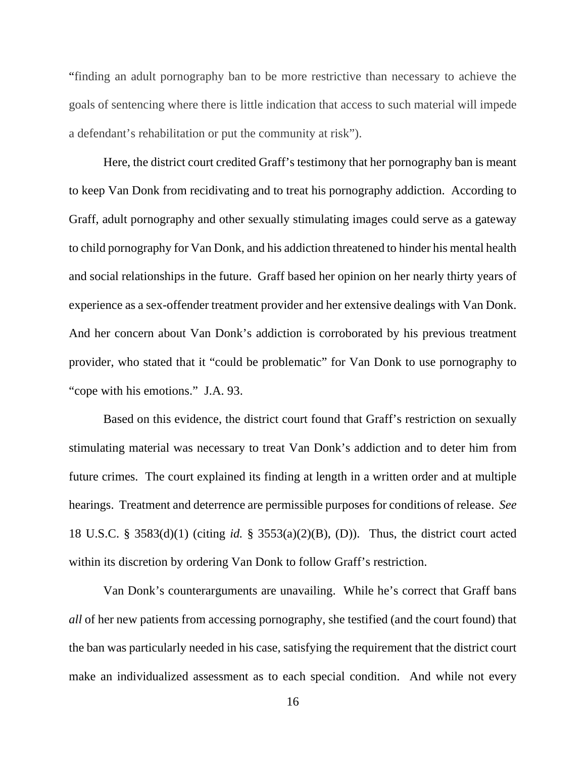"finding an adult pornography ban to be more restrictive than necessary to achieve the goals of sentencing where there is little indication that access to such material will impede a defendant's rehabilitation or put the community at risk").

Here, the district court credited Graff's testimony that her pornography ban is meant to keep Van Donk from recidivating and to treat his pornography addiction. According to Graff, adult pornography and other sexually stimulating images could serve as a gateway to child pornography for Van Donk, and his addiction threatened to hinder his mental health and social relationships in the future. Graff based her opinion on her nearly thirty years of experience as a sex-offender treatment provider and her extensive dealings with Van Donk. And her concern about Van Donk's addiction is corroborated by his previous treatment provider, who stated that it "could be problematic" for Van Donk to use pornography to "cope with his emotions." J.A. 93.

Based on this evidence, the district court found that Graff's restriction on sexually stimulating material was necessary to treat Van Donk's addiction and to deter him from future crimes. The court explained its finding at length in a written order and at multiple hearings. Treatment and deterrence are permissible purposes for conditions of release. *See*  18 U.S.C. § 3583(d)(1) (citing *id.* § 3553(a)(2)(B), (D)). Thus, the district court acted within its discretion by ordering Van Donk to follow Graff's restriction.

Van Donk's counterarguments are unavailing. While he's correct that Graff bans *all* of her new patients from accessing pornography, she testified (and the court found) that the ban was particularly needed in his case, satisfying the requirement that the district court make an individualized assessment as to each special condition. And while not every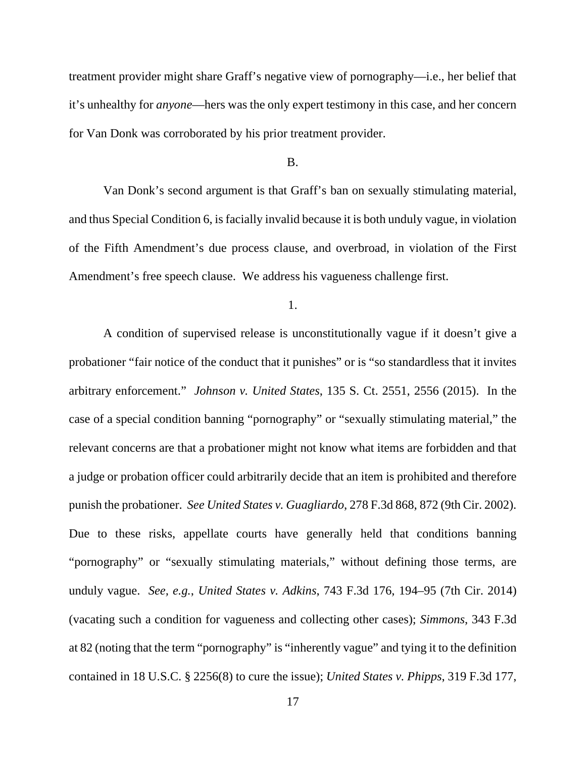treatment provider might share Graff's negative view of pornography—i.e., her belief that it's unhealthy for *anyone*—hers was the only expert testimony in this case, and her concern for Van Donk was corroborated by his prior treatment provider.

#### B.

Van Donk's second argument is that Graff's ban on sexually stimulating material, and thus Special Condition 6, is facially invalid because it is both unduly vague, in violation of the Fifth Amendment's due process clause, and overbroad, in violation of the First Amendment's free speech clause. We address his vagueness challenge first.

1.

A condition of supervised release is unconstitutionally vague if it doesn't give a probationer "fair notice of the conduct that it punishes" or is "so standardless that it invites arbitrary enforcement." *Johnson v. United States*, 135 S. Ct. 2551, 2556 (2015). In the case of a special condition banning "pornography" or "sexually stimulating material," the relevant concerns are that a probationer might not know what items are forbidden and that a judge or probation officer could arbitrarily decide that an item is prohibited and therefore punish the probationer. *See United States v. Guagliardo*, 278 F.3d 868, 872 (9th Cir. 2002). Due to these risks, appellate courts have generally held that conditions banning "pornography" or "sexually stimulating materials," without defining those terms, are unduly vague. *See, e.g.*, *United States v. Adkins*, 743 F.3d 176, 194–95 (7th Cir. 2014) (vacating such a condition for vagueness and collecting other cases); *Simmons*, 343 F.3d at 82 (noting that the term "pornography" is "inherently vague" and tying it to the definition contained in 18 U.S.C. § 2256(8) to cure the issue); *United States v. Phipps*, 319 F.3d 177,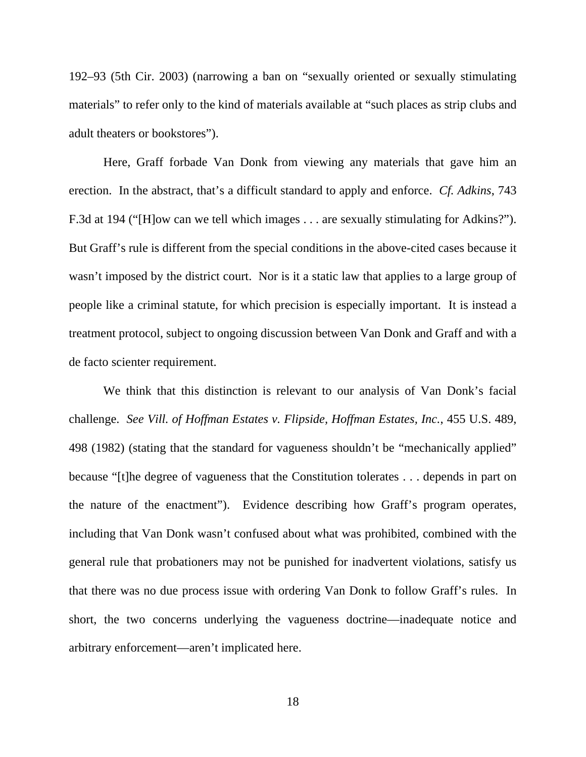192–93 (5th Cir. 2003) (narrowing a ban on "sexually oriented or sexually stimulating materials" to refer only to the kind of materials available at "such places as strip clubs and adult theaters or bookstores").

Here, Graff forbade Van Donk from viewing any materials that gave him an erection. In the abstract, that's a difficult standard to apply and enforce. *Cf. Adkins*, 743 F.3d at 194 ("[H]ow can we tell which images . . . are sexually stimulating for Adkins?"). But Graff's rule is different from the special conditions in the above-cited cases because it wasn't imposed by the district court. Nor is it a static law that applies to a large group of people like a criminal statute, for which precision is especially important. It is instead a treatment protocol, subject to ongoing discussion between Van Donk and Graff and with a de facto scienter requirement.

We think that this distinction is relevant to our analysis of Van Donk's facial challenge. *See Vill. of Hoffman Estates v. Flipside, Hoffman Estates, Inc.*, 455 U.S. 489, 498 (1982) (stating that the standard for vagueness shouldn't be "mechanically applied" because "[t]he degree of vagueness that the Constitution tolerates . . . depends in part on the nature of the enactment"). Evidence describing how Graff's program operates, including that Van Donk wasn't confused about what was prohibited, combined with the general rule that probationers may not be punished for inadvertent violations, satisfy us that there was no due process issue with ordering Van Donk to follow Graff's rules. In short, the two concerns underlying the vagueness doctrine—inadequate notice and arbitrary enforcement—aren't implicated here.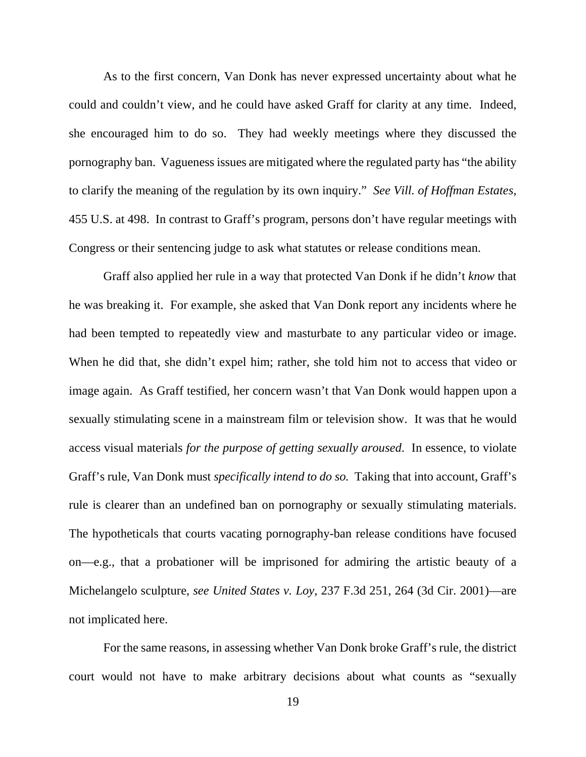As to the first concern, Van Donk has never expressed uncertainty about what he could and couldn't view, and he could have asked Graff for clarity at any time. Indeed, she encouraged him to do so. They had weekly meetings where they discussed the pornography ban. Vagueness issues are mitigated where the regulated party has "the ability to clarify the meaning of the regulation by its own inquiry." *See Vill. of Hoffman Estates*, 455 U.S. at 498. In contrast to Graff's program, persons don't have regular meetings with Congress or their sentencing judge to ask what statutes or release conditions mean.

Graff also applied her rule in a way that protected Van Donk if he didn't *know* that he was breaking it. For example, she asked that Van Donk report any incidents where he had been tempted to repeatedly view and masturbate to any particular video or image. When he did that, she didn't expel him; rather, she told him not to access that video or image again. As Graff testified, her concern wasn't that Van Donk would happen upon a sexually stimulating scene in a mainstream film or television show. It was that he would access visual materials *for the purpose of getting sexually aroused*. In essence, to violate Graff's rule, Van Donk must *specifically intend to do so.* Taking that into account, Graff's rule is clearer than an undefined ban on pornography or sexually stimulating materials. The hypotheticals that courts vacating pornography-ban release conditions have focused on—e.g., that a probationer will be imprisoned for admiring the artistic beauty of a Michelangelo sculpture, *see United States v. Loy*, 237 F.3d 251, 264 (3d Cir. 2001)—are not implicated here.

For the same reasons, in assessing whether Van Donk broke Graff's rule, the district court would not have to make arbitrary decisions about what counts as "sexually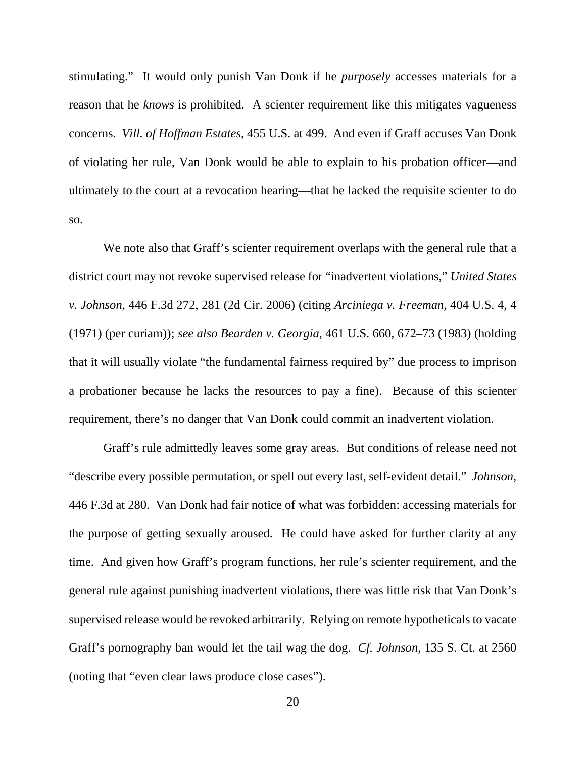stimulating." It would only punish Van Donk if he *purposely* accesses materials for a reason that he *knows* is prohibited. A scienter requirement like this mitigates vagueness concerns. *Vill. of Hoffman Estates*, 455 U.S. at 499. And even if Graff accuses Van Donk of violating her rule, Van Donk would be able to explain to his probation officer—and ultimately to the court at a revocation hearing—that he lacked the requisite scienter to do so.

We note also that Graff's scienter requirement overlaps with the general rule that a district court may not revoke supervised release for "inadvertent violations," *United States v. Johnson*, 446 F.3d 272, 281 (2d Cir. 2006) (citing *Arciniega v. Freeman*, 404 U.S. 4, 4 (1971) (per curiam)); *see also Bearden v. Georgia*, 461 U.S. 660, 672–73 (1983) (holding that it will usually violate "the fundamental fairness required by" due process to imprison a probationer because he lacks the resources to pay a fine). Because of this scienter requirement, there's no danger that Van Donk could commit an inadvertent violation.

Graff's rule admittedly leaves some gray areas. But conditions of release need not "describe every possible permutation, or spell out every last, self-evident detail." *Johnson*, 446 F.3d at 280. Van Donk had fair notice of what was forbidden: accessing materials for the purpose of getting sexually aroused. He could have asked for further clarity at any time. And given how Graff's program functions, her rule's scienter requirement, and the general rule against punishing inadvertent violations, there was little risk that Van Donk's supervised release would be revoked arbitrarily. Relying on remote hypotheticals to vacate Graff's pornography ban would let the tail wag the dog. *Cf. Johnson*, 135 S. Ct. at 2560 (noting that "even clear laws produce close cases").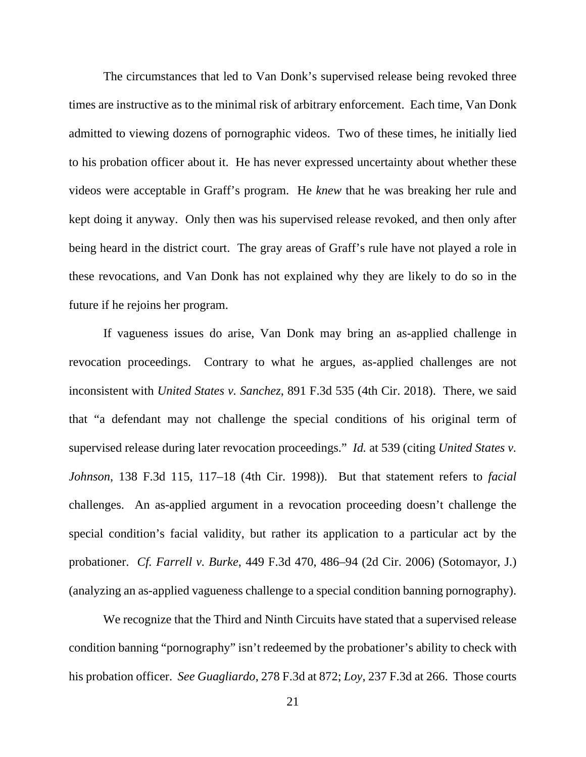The circumstances that led to Van Donk's supervised release being revoked three times are instructive as to the minimal risk of arbitrary enforcement. Each time, Van Donk admitted to viewing dozens of pornographic videos. Two of these times, he initially lied to his probation officer about it. He has never expressed uncertainty about whether these videos were acceptable in Graff's program. He *knew* that he was breaking her rule and kept doing it anyway. Only then was his supervised release revoked, and then only after being heard in the district court. The gray areas of Graff's rule have not played a role in these revocations, and Van Donk has not explained why they are likely to do so in the future if he rejoins her program.

If vagueness issues do arise, Van Donk may bring an as-applied challenge in revocation proceedings. Contrary to what he argues, as-applied challenges are not inconsistent with *United States v. Sanchez*, 891 F.3d 535 (4th Cir. 2018). There, we said that "a defendant may not challenge the special conditions of his original term of supervised release during later revocation proceedings." *Id.* at 539 (citing *United States v. Johnson*, 138 F.3d 115, 117–18 (4th Cir. 1998)). But that statement refers to *facial*  challenges. An as-applied argument in a revocation proceeding doesn't challenge the special condition's facial validity, but rather its application to a particular act by the probationer. *Cf. Farrell v. Burke*, 449 F.3d 470, 486–94 (2d Cir. 2006) (Sotomayor, J.) (analyzing an as-applied vagueness challenge to a special condition banning pornography).

We recognize that the Third and Ninth Circuits have stated that a supervised release condition banning "pornography" isn't redeemed by the probationer's ability to check with his probation officer. *See Guagliardo*, 278 F.3d at 872; *Loy*, 237 F.3d at 266. Those courts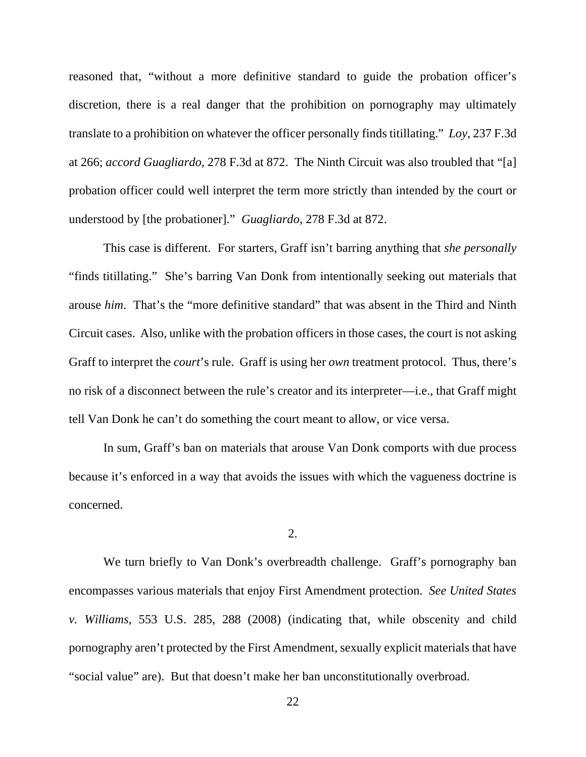reasoned that, "without a more definitive standard to guide the probation officer's discretion, there is a real danger that the prohibition on pornography may ultimately translate to a prohibition on whatever the officer personally finds titillating." *Loy*, 237 F.3d at 266; *accord Guagliardo*, 278 F.3d at 872. The Ninth Circuit was also troubled that "[a] probation officer could well interpret the term more strictly than intended by the court or understood by [the probationer]." *Guagliardo*, 278 F.3d at 872.

This case is different. For starters, Graff isn't barring anything that *she personally* "finds titillating." She's barring Van Donk from intentionally seeking out materials that arouse *him*. That's the "more definitive standard" that was absent in the Third and Ninth Circuit cases. Also, unlike with the probation officers in those cases, the court is not asking Graff to interpret the *court*'s rule. Graff is using her *own* treatment protocol. Thus, there's no risk of a disconnect between the rule's creator and its interpreter—i.e., that Graff might tell Van Donk he can't do something the court meant to allow, or vice versa.

In sum, Graff's ban on materials that arouse Van Donk comports with due process because it's enforced in a way that avoids the issues with which the vagueness doctrine is concerned.

2.

We turn briefly to Van Donk's overbreadth challenge. Graff's pornography ban encompasses various materials that enjoy First Amendment protection. *See United States v. Williams*, 553 U.S. 285, 288 (2008) (indicating that, while obscenity and child pornography aren't protected by the First Amendment, sexually explicit materials that have "social value" are). But that doesn't make her ban unconstitutionally overbroad.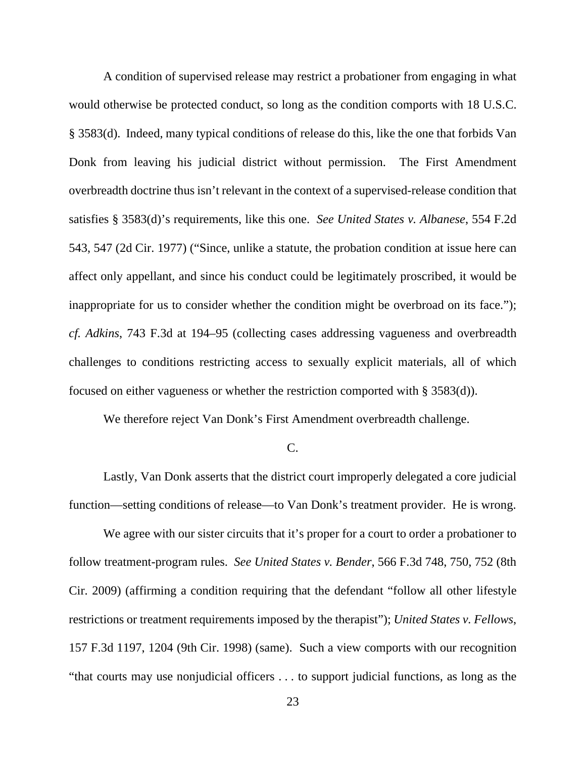A condition of supervised release may restrict a probationer from engaging in what would otherwise be protected conduct, so long as the condition comports with 18 U.S.C. § 3583(d). Indeed, many typical conditions of release do this, like the one that forbids Van Donk from leaving his judicial district without permission. The First Amendment overbreadth doctrine thus isn't relevant in the context of a supervised-release condition that satisfies § 3583(d)'s requirements, like this one. *See United States v. Albanese*, 554 F.2d 543, 547 (2d Cir. 1977) ("Since, unlike a statute, the probation condition at issue here can affect only appellant, and since his conduct could be legitimately proscribed, it would be inappropriate for us to consider whether the condition might be overbroad on its face."); *cf. Adkins*, 743 F.3d at 194–95 (collecting cases addressing vagueness and overbreadth challenges to conditions restricting access to sexually explicit materials, all of which focused on either vagueness or whether the restriction comported with § 3583(d)).

We therefore reject Van Donk's First Amendment overbreadth challenge.

#### C.

Lastly, Van Donk asserts that the district court improperly delegated a core judicial function—setting conditions of release—to Van Donk's treatment provider. He is wrong.

We agree with our sister circuits that it's proper for a court to order a probationer to follow treatment-program rules. *See United States v. Bender*, 566 F.3d 748, 750, 752 (8th Cir. 2009) (affirming a condition requiring that the defendant "follow all other lifestyle restrictions or treatment requirements imposed by the therapist"); *United States v. Fellows*, 157 F.3d 1197, 1204 (9th Cir. 1998) (same). Such a view comports with our recognition "that courts may use nonjudicial officers . . . to support judicial functions, as long as the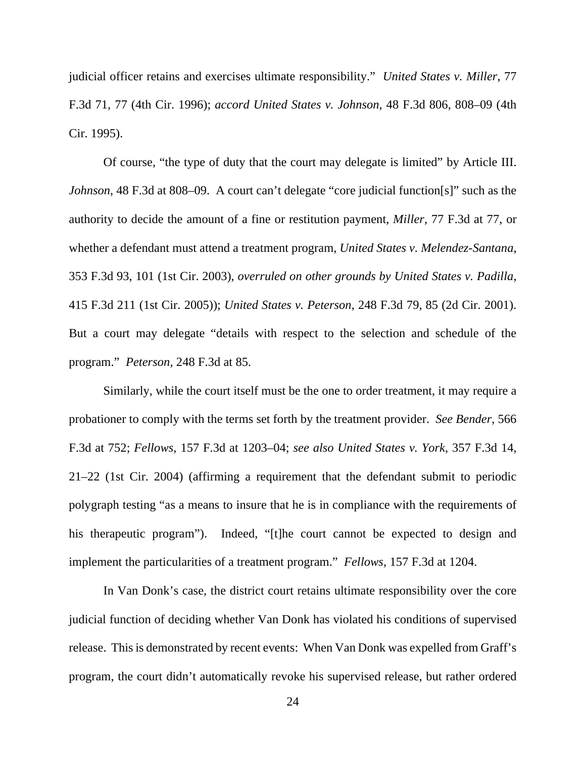judicial officer retains and exercises ultimate responsibility." *United States v. Miller*, 77 F.3d 71, 77 (4th Cir. 1996); *accord United States v. Johnson*, 48 F.3d 806, 808–09 (4th Cir. 1995).

Of course, "the type of duty that the court may delegate is limited" by Article III. *Johnson*, 48 F.3d at 808–09. A court can't delegate "core judicial function[s]" such as the authority to decide the amount of a fine or restitution payment, *Miller*, 77 F.3d at 77, or whether a defendant must attend a treatment program, *United States v. Melendez-Santana*, 353 F.3d 93, 101 (1st Cir. 2003), *overruled on other grounds by United States v. Padilla*, 415 F.3d 211 (1st Cir. 2005)); *United States v. Peterson*, 248 F.3d 79, 85 (2d Cir. 2001). But a court may delegate "details with respect to the selection and schedule of the program." *Peterson*, 248 F.3d at 85.

Similarly, while the court itself must be the one to order treatment, it may require a probationer to comply with the terms set forth by the treatment provider. *See Bender*, 566 F.3d at 752; *Fellows*, 157 F.3d at 1203–04; *see also United States v. York*, 357 F.3d 14, 21–22 (1st Cir. 2004) (affirming a requirement that the defendant submit to periodic polygraph testing "as a means to insure that he is in compliance with the requirements of his therapeutic program"). Indeed, "[t]he court cannot be expected to design and implement the particularities of a treatment program." *Fellows*, 157 F.3d at 1204.

In Van Donk's case, the district court retains ultimate responsibility over the core judicial function of deciding whether Van Donk has violated his conditions of supervised release. This is demonstrated by recent events: When Van Donk was expelled from Graff's program, the court didn't automatically revoke his supervised release, but rather ordered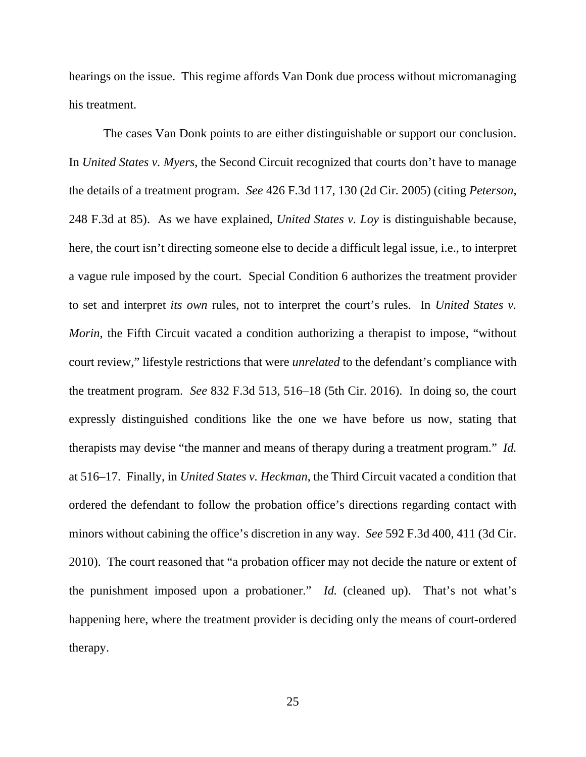hearings on the issue. This regime affords Van Donk due process without micromanaging his treatment.

The cases Van Donk points to are either distinguishable or support our conclusion. In *United States v. Myers*, the Second Circuit recognized that courts don't have to manage the details of a treatment program. *See* 426 F.3d 117, 130 (2d Cir. 2005) (citing *Peterson*, 248 F.3d at 85). As we have explained, *United States v. Loy* is distinguishable because, here, the court isn't directing someone else to decide a difficult legal issue, i.e., to interpret a vague rule imposed by the court. Special Condition 6 authorizes the treatment provider to set and interpret *its own* rules, not to interpret the court's rules. In *United States v. Morin*, the Fifth Circuit vacated a condition authorizing a therapist to impose, "without court review," lifestyle restrictions that were *unrelated* to the defendant's compliance with the treatment program. *See* 832 F.3d 513, 516–18 (5th Cir. 2016). In doing so, the court expressly distinguished conditions like the one we have before us now, stating that therapists may devise "the manner and means of therapy during a treatment program." *Id.*  at 516–17.Finally, in *United States v. Heckman*, the Third Circuit vacated a condition that ordered the defendant to follow the probation office's directions regarding contact with minors without cabining the office's discretion in any way. *See* 592 F.3d 400, 411 (3d Cir. 2010). The court reasoned that "a probation officer may not decide the nature or extent of the punishment imposed upon a probationer." *Id.* (cleaned up). That's not what's happening here, where the treatment provider is deciding only the means of court-ordered therapy.

25